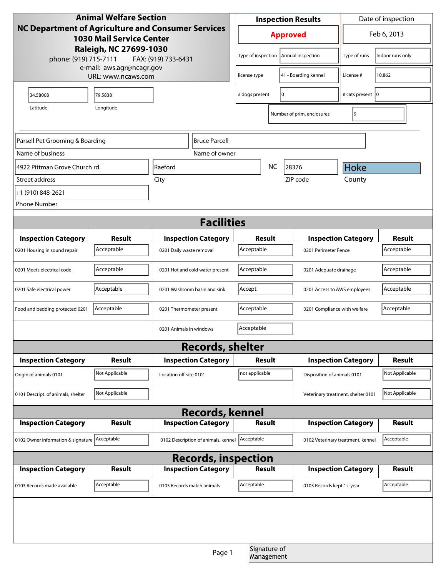| <b>Animal Welfare Section</b>                                                         |                               |                                     | <b>Inspection Results</b> |                            |    | Date of inspection           |                                    |                  |  |
|---------------------------------------------------------------------------------------|-------------------------------|-------------------------------------|---------------------------|----------------------------|----|------------------------------|------------------------------------|------------------|--|
| NC Department of Agriculture and Consumer Services<br><b>1030 Mail Service Center</b> |                               |                                     | <b>Approved</b>           |                            |    | Feb 6, 2013                  |                                    |                  |  |
| Raleigh, NC 27699-1030<br>phone: (919) 715-7111<br>e-mail: aws.agr@ncagr.gov          |                               | FAX: (919) 733-6431                 |                           | Type of inspection         |    | Annual inspection            | Type of runs                       | Indoor runs only |  |
|                                                                                       | URL: www.ncaws.com            |                                     |                           | license type               |    | 41 - Boarding kennel         | License #                          | 10,862           |  |
| 34.58008                                                                              | 79.5838                       |                                     |                           | # dogs present             | I٥ |                              | # cats present 10                  |                  |  |
| Latitude                                                                              | Longitude                     |                                     |                           |                            |    | Number of prim. enclosures   | 9                                  |                  |  |
| Parsell Pet Grooming & Boarding                                                       |                               | <b>Bruce Parcell</b>                |                           |                            |    |                              |                                    |                  |  |
| Name of business                                                                      |                               |                                     | Name of owner             |                            |    |                              |                                    |                  |  |
|                                                                                       | 4922 Pittman Grove Church rd. |                                     |                           | <b>NC</b><br>28376         |    |                              | Hoke                               |                  |  |
| Street address                                                                        |                               | City                                |                           |                            |    | ZIP code                     | County                             |                  |  |
| +1 (910) 848-2621                                                                     |                               |                                     |                           |                            |    |                              |                                    |                  |  |
| <b>Phone Number</b>                                                                   |                               |                                     |                           |                            |    |                              |                                    |                  |  |
| <b>Facilities</b>                                                                     |                               |                                     |                           |                            |    |                              |                                    |                  |  |
| <b>Inspection Category</b>                                                            | Result                        | <b>Inspection Category</b>          |                           | Result                     |    |                              | <b>Inspection Category</b>         | <b>Result</b>    |  |
| 0201 Housing in sound repair                                                          | Acceptable                    | 0201 Daily waste removal            |                           | Acceptable                 |    | 0201 Perimeter Fence         |                                    | Acceptable       |  |
| 0201 Meets electrical code                                                            | Acceptable                    | 0201 Hot and cold water present     |                           | Acceptable                 |    | 0201 Adequate drainage       |                                    | Acceptable       |  |
| 0201 Safe electrical power                                                            | Acceptable                    | 0201 Washroom basin and sink        |                           | Accept.                    |    | 0201 Access to AWS employees |                                    | Acceptable       |  |
| Food and bedding protected 0201                                                       | Acceptable                    | 0201 Thermometer present            |                           | Acceptable                 |    | 0201 Compliance with welfare |                                    | Acceptable       |  |
|                                                                                       |                               | 0201 Animals in windows             |                           | Acceptable                 |    |                              |                                    |                  |  |
|                                                                                       |                               | <b>Records, shelter</b>             |                           |                            |    |                              |                                    |                  |  |
| <b>Inspection Category</b>                                                            | Result                        | <b>Inspection Category</b>          |                           | <b>Result</b>              |    |                              | <b>Inspection Category</b>         | <b>Result</b>    |  |
| Origin of animals 0101                                                                | Not Applicable                | Location off-site 0101              |                           | not applicable             |    | Disposition of animals 0101  |                                    | Not Applicable   |  |
| 0101 Descript. of animals, shelter                                                    | Not Applicable                |                                     |                           |                            |    |                              | Veterinary treatment, shelter 0101 | Not Applicable   |  |
|                                                                                       |                               | <b>Records, kennel</b>              |                           |                            |    |                              |                                    |                  |  |
| <b>Inspection Category</b>                                                            | <b>Result</b>                 | <b>Inspection Category</b>          |                           | <b>Result</b>              |    |                              | <b>Inspection Category</b>         | <b>Result</b>    |  |
| 0102 Owner information & signature Acceptable                                         |                               | 0102 Description of animals, kennel |                           | Acceptable                 |    |                              | 0102 Veterinary treatment, kennel  | Acceptable       |  |
| <b>Records, inspection</b>                                                            |                               |                                     |                           |                            |    |                              |                                    |                  |  |
| <b>Inspection Category</b>                                                            | Result                        | <b>Inspection Category</b>          |                           | Result                     |    |                              | <b>Inspection Category</b>         | <b>Result</b>    |  |
| 0103 Records made available                                                           | Acceptable                    | 0103 Records match animals          |                           | Acceptable                 |    | 0103 Records kept 1+ year    |                                    | Acceptable       |  |
|                                                                                       |                               |                                     |                           |                            |    |                              |                                    |                  |  |
|                                                                                       |                               |                                     | Page 1                    | Signature of<br>Management |    |                              |                                    |                  |  |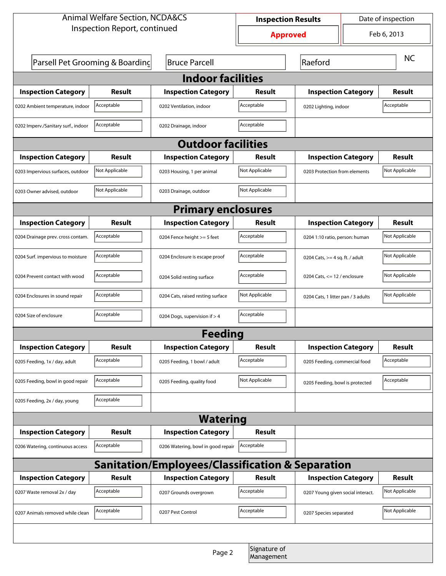| <b>Animal Welfare Section, NCDA&amp;CS</b>       |                                 |                                    | Date of inspection<br><b>Inspection Results</b> |                                   |                                                 |                |  |  |
|--------------------------------------------------|---------------------------------|------------------------------------|-------------------------------------------------|-----------------------------------|-------------------------------------------------|----------------|--|--|
|                                                  | Inspection Report, continued    |                                    | <b>Approved</b>                                 |                                   | Feb 6, 2013                                     |                |  |  |
|                                                  | Parsell Pet Grooming & Boarding | <b>Bruce Parcell</b>               |                                                 | Raeford                           |                                                 | <b>NC</b>      |  |  |
| <b>Indoor facilities</b>                         |                                 |                                    |                                                 |                                   |                                                 |                |  |  |
| <b>Inspection Category</b>                       | Result                          | <b>Inspection Category</b>         | Result                                          | <b>Inspection Category</b>        |                                                 | Result         |  |  |
| 0202 Ambient temperature, indoor                 | Acceptable                      | 0202 Ventilation, indoor           | Acceptable                                      | 0202 Lighting, indoor             |                                                 | Acceptable     |  |  |
| 0202 Imperv./Sanitary surf., indoor              | Acceptable                      | 0202 Drainage, indoor              | Acceptable                                      |                                   |                                                 |                |  |  |
| <b>Outdoor facilities</b>                        |                                 |                                    |                                                 |                                   |                                                 |                |  |  |
| <b>Inspection Category</b>                       | Result                          | <b>Inspection Category</b>         | Result                                          | <b>Inspection Category</b>        |                                                 | <b>Result</b>  |  |  |
| 0203 Impervious surfaces, outdoor                | Not Applicable                  | 0203 Housing, 1 per animal         | Not Applicable                                  |                                   | Not Applicable<br>0203 Protection from elements |                |  |  |
| 0203 Owner advised, outdoor                      | Not Applicable                  | 0203 Drainage, outdoor             | Not Applicable                                  |                                   |                                                 |                |  |  |
|                                                  |                                 | <b>Primary enclosures</b>          |                                                 |                                   |                                                 |                |  |  |
| <b>Inspection Category</b>                       | Result                          | <b>Inspection Category</b>         | Result                                          | <b>Inspection Category</b>        |                                                 | <b>Result</b>  |  |  |
| 0204 Drainage prev. cross contam.                | Acceptable                      | 0204 Fence height >= 5 feet        | Acceptable                                      | 0204 1:10 ratio, person: human    |                                                 | Not Applicable |  |  |
| 0204 Surf. impervious to moisture                | Acceptable                      | 0204 Enclosure is escape proof     | Acceptable                                      |                                   | 0204 Cats, $>=$ 4 sq. ft. / adult               |                |  |  |
| 0204 Prevent contact with wood                   | Acceptable                      | 0204 Solid resting surface         | Acceptable                                      |                                   | 0204 Cats, $<= 12$ / enclosure                  |                |  |  |
| 0204 Enclosures in sound repair                  | Acceptable                      | 0204 Cats, raised resting surface  | Not Applicable                                  |                                   | 0204 Cats, 1 litter pan / 3 adults              |                |  |  |
| 0204 Size of enclosure                           | Acceptable                      | 0204 Dogs, supervision if > 4      | Acceptable                                      |                                   |                                                 |                |  |  |
|                                                  |                                 | <b>Feeding</b>                     |                                                 |                                   |                                                 |                |  |  |
| <b>Inspection Category</b>                       | <b>Result</b>                   | <b>Inspection Category</b>         | Result                                          | <b>Inspection Category</b>        |                                                 | <b>Result</b>  |  |  |
| 0205 Feeding, 1x / day, adult                    | Acceptable                      | 0205 Feeding, 1 bowl / adult       | Acceptable                                      | 0205 Feeding, commercial food     |                                                 | Acceptable     |  |  |
| 0205 Feeding, bowl in good repair                | Acceptable                      | 0205 Feeding, quality food         | Not Applicable                                  | 0205 Feeding, bowl is protected   |                                                 | Acceptable     |  |  |
| 0205 Feeding, 2x / day, young                    | Acceptable                      |                                    |                                                 |                                   |                                                 |                |  |  |
|                                                  |                                 | <b>Watering</b>                    |                                                 |                                   |                                                 |                |  |  |
| <b>Inspection Category</b>                       | <b>Result</b>                   | <b>Inspection Category</b>         | Result                                          |                                   |                                                 |                |  |  |
| 0206 Watering, continuous access                 | Acceptable                      | 0206 Watering, bowl in good repair | Acceptable                                      |                                   |                                                 |                |  |  |
| Sanitation/Employees/Classification & Separation |                                 |                                    |                                                 |                                   |                                                 |                |  |  |
| <b>Inspection Category</b>                       | <b>Result</b>                   | <b>Inspection Category</b>         | Result                                          | <b>Inspection Category</b>        |                                                 | <b>Result</b>  |  |  |
| 0207 Waste removal 2x / day                      | Acceptable                      | 0207 Grounds overgrown             | Acceptable                                      | 0207 Young given social interact. |                                                 | Not Applicable |  |  |
| 0207 Animals removed while clean                 | Acceptable                      | 0207 Pest Control                  | Acceptable                                      | 0207 Species separated            |                                                 | Not Applicable |  |  |
|                                                  |                                 |                                    |                                                 |                                   |                                                 |                |  |  |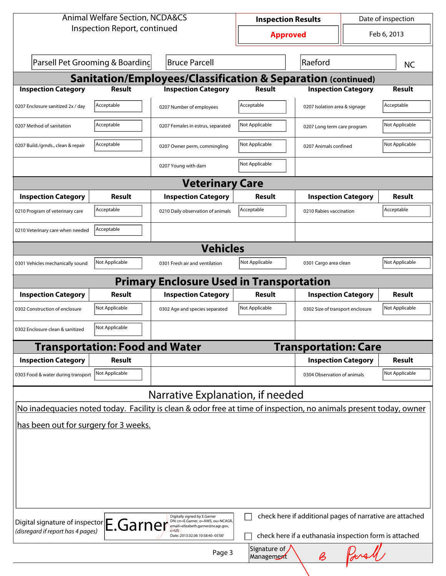| <b>Animal Welfare Section, NCDA&amp;CS</b>                                   |                                       |                                                                                                                                                       | <b>Inspection Results</b>            |                                                                                                                                     |             | Date of inspection |  |  |
|------------------------------------------------------------------------------|---------------------------------------|-------------------------------------------------------------------------------------------------------------------------------------------------------|--------------------------------------|-------------------------------------------------------------------------------------------------------------------------------------|-------------|--------------------|--|--|
|                                                                              | Inspection Report, continued          |                                                                                                                                                       | <b>Approved</b>                      |                                                                                                                                     | Feb 6, 2013 |                    |  |  |
|                                                                              | Parsell Pet Grooming & Boarding       | <b>Bruce Parcell</b>                                                                                                                                  |                                      | Raeford                                                                                                                             |             | <b>NC</b>          |  |  |
|                                                                              |                                       | <b>Sanitation/Employees/Classification &amp; Separation (continued)</b>                                                                               |                                      |                                                                                                                                     |             |                    |  |  |
| <b>Inspection Category</b>                                                   | <b>Result</b>                         | <b>Inspection Category</b>                                                                                                                            | <b>Result</b>                        | <b>Inspection Category</b>                                                                                                          |             | <b>Result</b>      |  |  |
| 0207 Enclosure sanitized 2x / day                                            | Acceptable                            | 0207 Number of employees                                                                                                                              | Acceptable                           | 0207 Isolation area & signage                                                                                                       |             | Acceptable         |  |  |
| 0207 Method of sanitation                                                    | Acceptable                            | 0207 Females in estrus, separated                                                                                                                     | Not Applicable                       | 0207 Long term care program                                                                                                         |             | Not Applicable     |  |  |
| 0207 Build./grnds., clean & repair                                           | Acceptable                            | 0207 Owner perm, commingling                                                                                                                          | Not Applicable                       | 0207 Animals confined                                                                                                               |             | Not Applicable     |  |  |
|                                                                              |                                       | 0207 Young with dam                                                                                                                                   | Not Applicable                       |                                                                                                                                     |             |                    |  |  |
|                                                                              |                                       | <b>Veterinary Care</b>                                                                                                                                |                                      |                                                                                                                                     |             |                    |  |  |
| <b>Inspection Category</b>                                                   | Result                                | <b>Inspection Category</b>                                                                                                                            | Result                               | <b>Inspection Category</b>                                                                                                          |             | Result             |  |  |
| 0210 Program of veterinary care                                              | Acceptable                            | 0210 Daily observation of animals                                                                                                                     | Acceptable                           | 0210 Rabies vaccination                                                                                                             |             | Acceptable         |  |  |
| 0210 Veterinary care when needed                                             | Acceptable                            |                                                                                                                                                       |                                      |                                                                                                                                     |             |                    |  |  |
| <b>Vehicles</b>                                                              |                                       |                                                                                                                                                       |                                      |                                                                                                                                     |             |                    |  |  |
| 0301 Vehicles mechanically sound                                             | Not Applicable                        | 0301 Fresh air and ventilation                                                                                                                        | Not Applicable                       | 0301 Cargo area clean                                                                                                               |             | Not Applicable     |  |  |
|                                                                              |                                       | <b>Primary Enclosure Used in Transportation</b>                                                                                                       |                                      |                                                                                                                                     |             |                    |  |  |
| <b>Inspection Category</b>                                                   | Result                                | <b>Inspection Category</b>                                                                                                                            | Result                               | <b>Inspection Category</b>                                                                                                          |             | Result             |  |  |
| 0302 Construction of enclosure                                               | Not Applicable                        | 0302 Age and species separated                                                                                                                        | Not Applicable                       | 0302 Size of transport enclosure                                                                                                    |             | Not Applicable     |  |  |
| 0302 Enclosure clean & sanitized                                             | Not Applicable                        |                                                                                                                                                       |                                      |                                                                                                                                     |             |                    |  |  |
|                                                                              | <b>Transportation: Food and Water</b> |                                                                                                                                                       |                                      | <b>Transportation: Care</b>                                                                                                         |             |                    |  |  |
| <b>Inspection Category</b>                                                   | <b>Result</b>                         |                                                                                                                                                       |                                      | <b>Inspection Category</b>                                                                                                          |             | Result             |  |  |
| 0303 Food & water during transport                                           | Not Applicable                        |                                                                                                                                                       |                                      | 0304 Observation of animals                                                                                                         |             | Not Applicable     |  |  |
|                                                                              |                                       | Narrative Explanation, if needed                                                                                                                      |                                      |                                                                                                                                     |             |                    |  |  |
|                                                                              |                                       | No inadequacies noted today. Facility is clean & odor free at time of inspection, no animals present today, owner                                     |                                      |                                                                                                                                     |             |                    |  |  |
| has been out for surgery for 3 weeks.                                        |                                       |                                                                                                                                                       |                                      |                                                                                                                                     |             |                    |  |  |
| Digital signature of inspector E.Garner<br>(disregard if report has 4 pages) |                                       | Digitally signed by E.Garner<br>DN: cn=E.Garner, o=AWS, ou=NCAGR,<br>email=elizabeth.garner@ncagr.gov,<br>Date: 2013.02.06 10:58:40 -05'00'<br>Page 3 | Signature of $\sqrt{}$<br>Management | check here if additional pages of narrative are attached<br>check here if a euthanasia inspection form is attached<br>$\pmb{\beta}$ |             |                    |  |  |
|                                                                              |                                       |                                                                                                                                                       |                                      |                                                                                                                                     |             |                    |  |  |